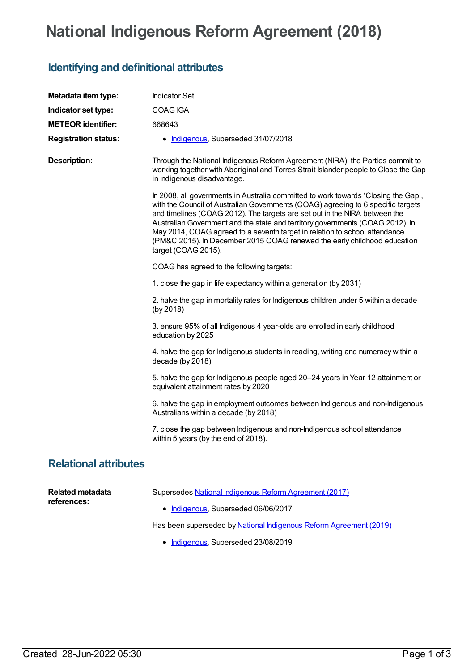## **National Indigenous Reform Agreement (2018)**

## **Identifying and definitional attributes**

| Metadata item type:             | <b>Indicator Set</b>                                                                                                                                                                                                                                                                                                                                                                                                                                                                                                   |
|---------------------------------|------------------------------------------------------------------------------------------------------------------------------------------------------------------------------------------------------------------------------------------------------------------------------------------------------------------------------------------------------------------------------------------------------------------------------------------------------------------------------------------------------------------------|
| Indicator set type:             | COAG IGA                                                                                                                                                                                                                                                                                                                                                                                                                                                                                                               |
| <b>METEOR identifier:</b>       | 668643                                                                                                                                                                                                                                                                                                                                                                                                                                                                                                                 |
| <b>Registration status:</b>     | • Indigenous, Superseded 31/07/2018                                                                                                                                                                                                                                                                                                                                                                                                                                                                                    |
| <b>Description:</b>             | Through the National Indigenous Reform Agreement (NIRA), the Parties commit to<br>working together with Aboriginal and Torres Strait Islander people to Close the Gap<br>in Indigenous disadvantage.                                                                                                                                                                                                                                                                                                                   |
|                                 | In 2008, all governments in Australia committed to work towards 'Closing the Gap',<br>with the Council of Australian Governments (COAG) agreeing to 6 specific targets<br>and timelines (COAG 2012). The targets are set out in the NIRA between the<br>Australian Government and the state and territory governments (COAG 2012). In<br>May 2014, COAG agreed to a seventh target in relation to school attendance<br>(PM&C 2015). In December 2015 COAG renewed the early childhood education<br>target (COAG 2015). |
|                                 | COAG has agreed to the following targets:                                                                                                                                                                                                                                                                                                                                                                                                                                                                              |
|                                 | 1. close the gap in life expectancy within a generation (by 2031)                                                                                                                                                                                                                                                                                                                                                                                                                                                      |
|                                 | 2. halve the gap in mortality rates for Indigenous children under 5 within a decade<br>(by 2018)                                                                                                                                                                                                                                                                                                                                                                                                                       |
|                                 | 3. ensure 95% of all Indigenous 4 year-olds are enrolled in early childhood<br>education by 2025                                                                                                                                                                                                                                                                                                                                                                                                                       |
|                                 | 4. halve the gap for Indigenous students in reading, writing and numeracy within a<br>decade (by 2018)                                                                                                                                                                                                                                                                                                                                                                                                                 |
|                                 | 5. halve the gap for Indigenous people aged 20-24 years in Year 12 attainment or<br>equivalent attainment rates by 2020                                                                                                                                                                                                                                                                                                                                                                                                |
|                                 | 6. halve the gap in employment outcomes between Indigenous and non-Indigenous<br>Australians within a decade (by 2018)                                                                                                                                                                                                                                                                                                                                                                                                 |
|                                 | 7. close the gap between Indigenous and non-Indigenous school attendance<br>within 5 years (by the end of 2018).                                                                                                                                                                                                                                                                                                                                                                                                       |
| <b>Relational attributes</b>    |                                                                                                                                                                                                                                                                                                                                                                                                                                                                                                                        |
| Related metadata<br>references: | Supersedes National Indigenous Reform Agreement (2017)<br>$\blacksquare$ Indiagnous Supersodod 06/06/2017                                                                                                                                                                                                                                                                                                                                                                                                              |

**[Indigenous](https://meteor.aihw.gov.au/RegistrationAuthority/6)**, Superseded 06/06/2017

Has been superseded by **National Indigenous Reform [Agreement](https://meteor.aihw.gov.au/content/697092) (2019)** 

• [Indigenous](https://meteor.aihw.gov.au/RegistrationAuthority/6), Superseded 23/08/2019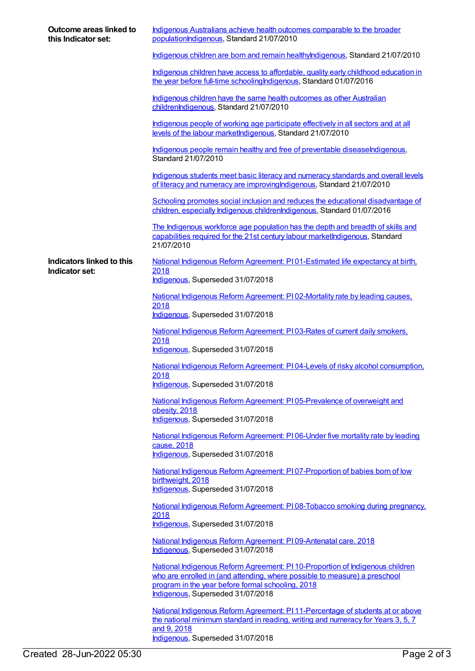| Outcome areas linked to<br>this Indicator set: | Indigenous Australians achieve health outcomes comparable to the broader<br>populationIndigenous, Standard 21/07/2010                                                                                                                                 |
|------------------------------------------------|-------------------------------------------------------------------------------------------------------------------------------------------------------------------------------------------------------------------------------------------------------|
|                                                | Indigenous children are born and remain healthylndigenous, Standard 21/07/2010                                                                                                                                                                        |
|                                                | Indigenous children have access to affordable, quality early childhood education in<br>the year before full-time schooling Indigenous, Standard 01/07/2016                                                                                            |
|                                                | Indigenous children have the same health outcomes as other Australian<br>childrenIndigenous, Standard 21/07/2010                                                                                                                                      |
|                                                | Indigenous people of working age participate effectively in all sectors and at all<br>levels of the labour marketIndigenous, Standard 21/07/2010                                                                                                      |
|                                                | Indigenous people remain healthy and free of preventable diseaseIndigenous,<br>Standard 21/07/2010                                                                                                                                                    |
|                                                | Indigenous students meet basic literacy and numeracy standards and overall levels<br>of literacy and numeracy are improving Indigenous, Standard 21/07/2010                                                                                           |
|                                                | Schooling promotes social inclusion and reduces the educational disadvantage of<br>children, especially Indigenous childrenIndigenous, Standard 01/07/2016                                                                                            |
|                                                | The Indigenous workforce age population has the depth and breadth of skills and<br>capabilities required for the 21st century labour marketIndigenous, Standard<br>21/07/2010                                                                         |
| Indicators linked to this                      | National Indigenous Reform Agreement: PI01-Estimated life expectancy at birth,                                                                                                                                                                        |
| Indicator set:                                 | 2018<br>Indigenous, Superseded 31/07/2018                                                                                                                                                                                                             |
|                                                | National Indigenous Reform Agreement: PI 02-Mortality rate by leading causes,                                                                                                                                                                         |
|                                                | 2018<br>Indigenous, Superseded 31/07/2018                                                                                                                                                                                                             |
|                                                | National Indigenous Reform Agreement: P103-Rates of current daily smokers,<br>2018<br>Indigenous, Superseded 31/07/2018                                                                                                                               |
|                                                | National Indigenous Reform Agreement: PI04-Levels of risky alcohol consumption,                                                                                                                                                                       |
|                                                | 2018<br>Indigenous, Superseded 31/07/2018                                                                                                                                                                                                             |
|                                                | National Indigenous Reform Agreement: PI05-Prevalence of overweight and                                                                                                                                                                               |
|                                                | obesity, 2018<br>Indigenous, Superseded 31/07/2018                                                                                                                                                                                                    |
|                                                | National Indigenous Reform Agreement: PI06-Under five mortality rate by leading<br>cause, 2018<br>Indigenous, Superseded 31/07/2018                                                                                                                   |
|                                                | National Indigenous Reform Agreement: PI07-Proportion of babies born of low                                                                                                                                                                           |
|                                                | birthweight, 2018<br>Indigenous, Superseded 31/07/2018                                                                                                                                                                                                |
|                                                | National Indigenous Reform Agreement: PI08-Tobacco smoking during pregnancy.<br>2018<br>Indigenous, Superseded 31/07/2018                                                                                                                             |
|                                                | National Indigenous Reform Agreement: P109-Antenatal care, 2018                                                                                                                                                                                       |
|                                                | Indigenous, Superseded 31/07/2018                                                                                                                                                                                                                     |
|                                                | National Indigenous Reform Agreement: PI 10-Proportion of Indigenous children<br>who are enrolled in (and attending, where possible to measure) a preschool<br>program in the year before formal schooling, 2018<br>Indigenous, Superseded 31/07/2018 |
|                                                | National Indigenous Reform Agreement: PI 11-Percentage of students at or above<br>the national minimum standard in reading, writing and numeracy for Years 3, 5, 7<br>and 9, 2018<br>Indigenous, Superseded 31/07/2018                                |